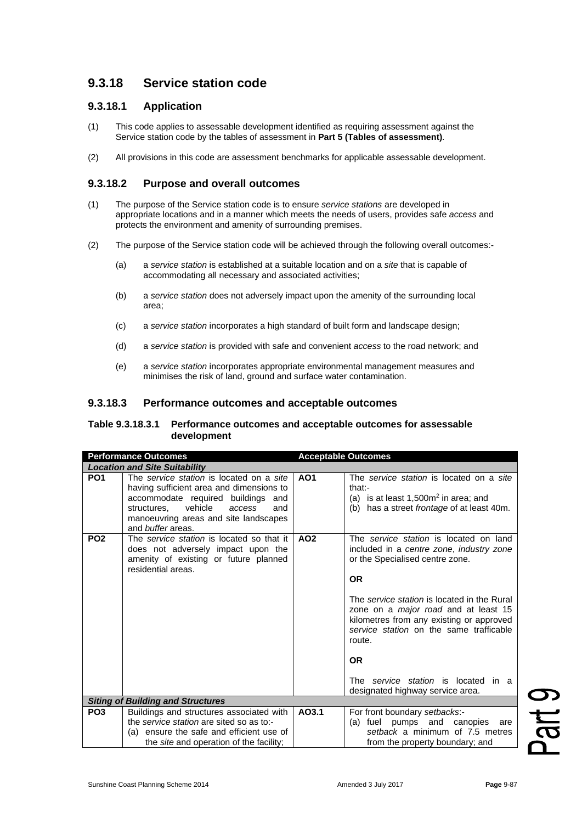# **9.3.18 Service station code**

## **9.3.18.1 Application**

- (1) This code applies to assessable development identified as requiring assessment against the Service station code by the tables of assessment in **Part 5 (Tables of assessment)**.
- (2) All provisions in this code are assessment benchmarks for applicable assessable development.

## **9.3.18.2 Purpose and overall outcomes**

- (1) The purpose of the Service station code is to ensure *service stations* are developed in appropriate locations and in a manner which meets the needs of users, provides safe *access* and protects the environment and amenity of surrounding premises.
- (2) The purpose of the Service station code will be achieved through the following overall outcomes:-
	- (a) a *service station* is established at a suitable location and on a *site* that is capable of accommodating all necessary and associated activities;
	- (b) a *service station* does not adversely impact upon the amenity of the surrounding local area;
	- (c) a *service station* incorporates a high standard of built form and landscape design;
	- (d) a *service station* is provided with safe and convenient *access* to the road network; and
	- (e) a *service station* incorporates appropriate environmental management measures and minimises the risk of land, ground and surface water contamination.

#### **9.3.18.3 Performance outcomes and acceptable outcomes**

#### **Table 9.3.18.3.1 Performance outcomes and acceptable outcomes for assessable development**

| <b>Performance Outcomes</b>              |                                                                                                                                                                                                                                               | <b>Acceptable Outcomes</b> |                                                                                                                                                                                                                                                                                                                                                                                                                           |  |  |
|------------------------------------------|-----------------------------------------------------------------------------------------------------------------------------------------------------------------------------------------------------------------------------------------------|----------------------------|---------------------------------------------------------------------------------------------------------------------------------------------------------------------------------------------------------------------------------------------------------------------------------------------------------------------------------------------------------------------------------------------------------------------------|--|--|
| <b>Location and Site Suitability</b>     |                                                                                                                                                                                                                                               |                            |                                                                                                                                                                                                                                                                                                                                                                                                                           |  |  |
| PO <sub>1</sub>                          | The service station is located on a site<br>having sufficient area and dimensions to<br>accommodate required buildings<br>and<br>vehicle<br>structures.<br>access<br>and<br>manoeuvring areas and site landscapes<br>and <i>buffer</i> areas. | A01                        | The service station is located on a site<br>that:-<br>(a) is at least $1,500m^2$ in area; and<br>(b) has a street <i>frontage</i> of at least 40m.                                                                                                                                                                                                                                                                        |  |  |
| PO <sub>2</sub>                          | The service station is located so that it<br>does not adversely impact upon the<br>amenity of existing or future planned<br>residential areas.                                                                                                | AO <sub>2</sub>            | The service station is located on land<br>included in a centre zone, industry zone<br>or the Specialised centre zone.<br><b>OR</b><br>The service station is located in the Rural<br>zone on a <i>major road</i> and at least 15<br>kilometres from any existing or approved<br>service station on the same trafficable<br>route.<br><b>OR</b><br>The service station is located in a<br>designated highway service area. |  |  |
| <b>Siting of Building and Structures</b> |                                                                                                                                                                                                                                               |                            |                                                                                                                                                                                                                                                                                                                                                                                                                           |  |  |
| PO <sub>3</sub>                          | Buildings and structures associated with<br>the service station are sited so as to:-<br>(a) ensure the safe and efficient use of                                                                                                              | AO3.1                      | For front boundary setbacks:-<br>(a) fuel pumps and canopies<br>are<br>setback a minimum of 7.5 metres                                                                                                                                                                                                                                                                                                                    |  |  |
|                                          | the <i>site</i> and operation of the facility;                                                                                                                                                                                                |                            | from the property boundary; and                                                                                                                                                                                                                                                                                                                                                                                           |  |  |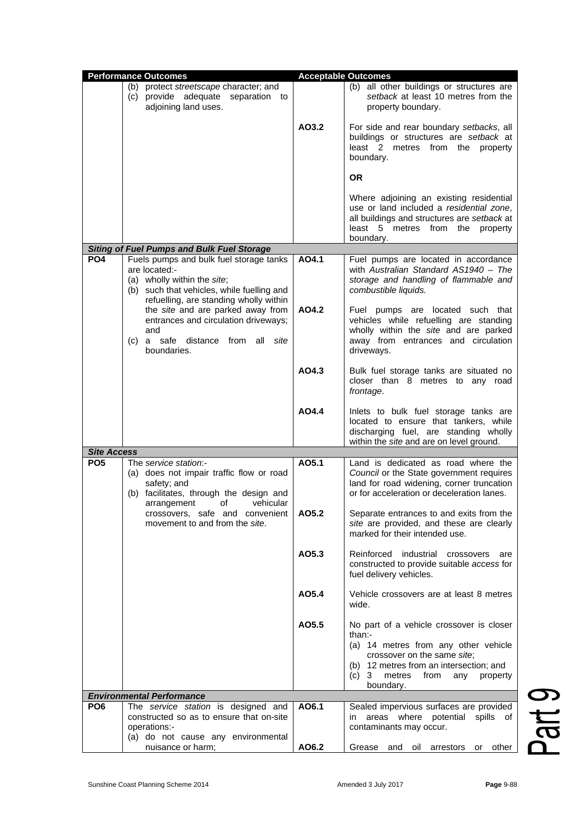| <b>Performance Outcomes</b> |                                                                                                                                                                                                                                                                                                                               | <b>Acceptable Outcomes</b> |                                                                                                                                                                                                                                    |
|-----------------------------|-------------------------------------------------------------------------------------------------------------------------------------------------------------------------------------------------------------------------------------------------------------------------------------------------------------------------------|----------------------------|------------------------------------------------------------------------------------------------------------------------------------------------------------------------------------------------------------------------------------|
|                             | (b) protect streetscape character; and<br>(c) provide adequate separation to<br>adjoining land uses.                                                                                                                                                                                                                          |                            | (b) all other buildings or structures are<br>setback at least 10 metres from the<br>property boundary.                                                                                                                             |
|                             |                                                                                                                                                                                                                                                                                                                               | AO3.2                      | For side and rear boundary setbacks, all<br>buildings or structures are setback at<br>least 2 metres from the<br>property<br>boundary.                                                                                             |
|                             |                                                                                                                                                                                                                                                                                                                               |                            | <b>OR</b>                                                                                                                                                                                                                          |
|                             | <b>Siting of Fuel Pumps and Bulk Fuel Storage</b>                                                                                                                                                                                                                                                                             |                            | Where adjoining an existing residential<br>use or land included a residential zone,<br>all buildings and structures are setback at<br>least 5 metres from the property<br>boundary.                                                |
|                             |                                                                                                                                                                                                                                                                                                                               | AO4.1                      |                                                                                                                                                                                                                                    |
| PO <sub>4</sub>             | Fuels pumps and bulk fuel storage tanks<br>are located:-<br>(a) wholly within the site;<br>(b) such that vehicles, while fuelling and<br>refuelling, are standing wholly within<br>the site and are parked away from<br>entrances and circulation driveways;<br>and<br>(c) a safe distance<br>from all<br>site<br>boundaries. |                            | Fuel pumps are located in accordance<br>with Australian Standard AS1940 - The<br>storage and handling of flammable and<br>combustible liquids.                                                                                     |
|                             |                                                                                                                                                                                                                                                                                                                               | AO4.2                      | Fuel pumps are located such that<br>vehicles while refuelling are standing<br>wholly within the site and are parked<br>away from entrances and circulation<br>driveways.                                                           |
|                             |                                                                                                                                                                                                                                                                                                                               | AO4.3                      | Bulk fuel storage tanks are situated no<br>closer than 8 metres to any road<br>frontage.                                                                                                                                           |
| <b>Site Access</b>          |                                                                                                                                                                                                                                                                                                                               | AO4.4                      | Inlets to bulk fuel storage tanks are<br>located to ensure that tankers, while<br>discharging fuel, are standing wholly<br>within the site and are on level ground.                                                                |
|                             |                                                                                                                                                                                                                                                                                                                               | AO5.1                      | Land is dedicated as road where the                                                                                                                                                                                                |
| PO <sub>5</sub>             | The service station:-<br>(a) does not impair traffic flow or road<br>safety; and<br>(b) facilitates, through the design and<br>vehicular<br>οf<br>arrangement<br>crossovers, safe and convenient<br>movement to and from the site.                                                                                            |                            | Council or the State government requires<br>land for road widening, corner truncation<br>or for acceleration or deceleration lanes.                                                                                                |
|                             |                                                                                                                                                                                                                                                                                                                               | AO5.2                      | Separate entrances to and exits from the<br>site are provided, and these are clearly<br>marked for their intended use.                                                                                                             |
|                             |                                                                                                                                                                                                                                                                                                                               | AO5.3                      | Reinforced industrial<br>crossovers<br>are<br>constructed to provide suitable access for<br>fuel delivery vehicles.                                                                                                                |
|                             |                                                                                                                                                                                                                                                                                                                               | AO5.4                      | Vehicle crossovers are at least 8 metres<br>wide.                                                                                                                                                                                  |
|                             |                                                                                                                                                                                                                                                                                                                               | AO5.5                      | No part of a vehicle crossover is closer<br>than:-<br>(a) 14 metres from any other vehicle<br>crossover on the same site;<br>(b) 12 metres from an intersection; and<br>metres<br>(c)<br>3<br>from<br>property<br>any<br>boundary. |
|                             | <b>Environmental Performance</b>                                                                                                                                                                                                                                                                                              |                            |                                                                                                                                                                                                                                    |
| PO <sub>6</sub>             | The service station is designed and<br>constructed so as to ensure that on-site<br>operations:-                                                                                                                                                                                                                               | AO6.1                      | Sealed impervious surfaces are provided<br>areas where potential<br>spills of<br>in<br>contaminants may occur.                                                                                                                     |
|                             | (a) do not cause any environmental<br>nuisance or harm;                                                                                                                                                                                                                                                                       | AO6.2                      | Grease<br>arrestors<br>other<br>and<br>oil<br>or                                                                                                                                                                                   |